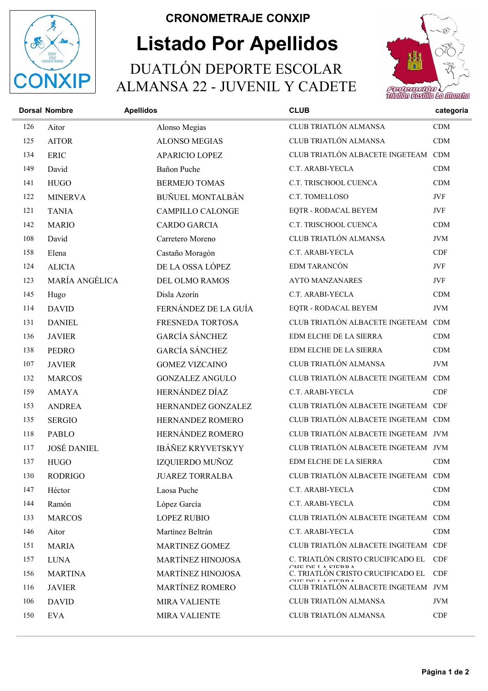

## Listado Por Apellidos CRONOMETRAJE CONXIP DUATLÓN DEPORTE ESCOLAR ALMANSA 22 - JUVENIL Y CADETE



|     | <b>Dorsal Nombre</b> | <b>Apellidos</b>         | <b>CLUB</b>                                                      | categoria  |
|-----|----------------------|--------------------------|------------------------------------------------------------------|------------|
| 126 | Aitor                | Alonso Megias            | CLUB TRIATLÓN ALMANSA                                            | CDM        |
| 125 | <b>AITOR</b>         | <b>ALONSO MEGIAS</b>     | CLUB TRIATLÓN ALMANSA                                            | CDM        |
| 134 | <b>ERIC</b>          | <b>APARICIO LOPEZ</b>    | CLUB TRIATLÓN ALBACETE INGETEAM CDM                              |            |
| 149 | David                | Bañon Puche              | C.T. ARABI-YECLA                                                 | CDM        |
| 141 | <b>HUGO</b>          | <b>BERMEJO TOMAS</b>     | C.T. TRISCHOOL CUENCA                                            | CDM        |
| 122 | <b>MINERVA</b>       | <b>BUÑUEL MONTALBÁN</b>  | C.T. TOMELLOSO                                                   | JVF        |
| 121 | <b>TANIA</b>         | <b>CAMPILLO CALONGE</b>  | EQTR - RODACAL BEYEM                                             | JVF        |
| 142 | <b>MARIO</b>         | <b>CARDO GARCIA</b>      | C.T. TRISCHOOL CUENCA                                            | CDM        |
| 108 | David                | Carretero Moreno         | CLUB TRIATLÓN ALMANSA                                            | <b>JVM</b> |
| 158 | Elena                | Castaño Moragón          | C.T. ARABI-YECLA                                                 | CDF        |
| 124 | <b>ALICIA</b>        | DE LA OSSA LÓPEZ         | EDM TARANCÓN                                                     | JVF        |
| 123 | MARÍA ANGÉLICA       | DEL OLMO RAMOS           | <b>AYTO MANZANARES</b>                                           | JVF        |
| 145 | Hugo                 | Disla Azorín             | C.T. ARABI-YECLA                                                 | CDM        |
| 114 | <b>DAVID</b>         | FERNÁNDEZ DE LA GUÍA     | EQTR - RODACAL BEYEM                                             | $\rm JVM$  |
| 131 | <b>DANIEL</b>        | FRESNEDA TORTOSA         | CLUB TRIATLÓN ALBACETE INGETEAM CDM                              |            |
| 136 | <b>JAVIER</b>        | <b>GARCÍA SÁNCHEZ</b>    | EDM ELCHE DE LA SIERRA                                           | <b>CDM</b> |
| 138 | <b>PEDRO</b>         | <b>GARCÍA SÁNCHEZ</b>    | EDM ELCHE DE LA SIERRA                                           | CDM        |
| 107 | <b>JAVIER</b>        | <b>GOMEZ VIZCAINO</b>    | CLUB TRIATLÓN ALMANSA                                            | <b>JVM</b> |
| 132 | <b>MARCOS</b>        | <b>GONZALEZ ANGULO</b>   | CLUB TRIATLÓN ALBACETE INGETEAM CDM                              |            |
| 159 | <b>AMAYA</b>         | HERNÁNDEZ DÍAZ           | C.T. ARABI-YECLA                                                 | CDF        |
| 153 | <b>ANDREA</b>        | HERNANDEZ GONZALEZ       | CLUB TRIATLÓN ALBACETE INGETEAM CDF                              |            |
| 135 | <b>SERGIO</b>        | HERNANDEZ ROMERO         | CLUB TRIATLÓN ALBACETE INGETEAM CDM                              |            |
| 118 | <b>PABLO</b>         | HERNÁNDEZ ROMERO         | CLUB TRIATLÓN ALBACETE INGETEAM JVM                              |            |
| 117 | <b>JOSÉ DANIEL</b>   | <b>IBÁÑEZ KRYVETSKYY</b> | CLUB TRIATLÓN ALBACETE INGETEAM JVM                              |            |
| 137 | <b>HUGO</b>          | IZQUIERDO MUÑOZ          | EDM ELCHE DE LA SIERRA                                           | CDM        |
| 130 | <b>RODRIGO</b>       | <b>JUAREZ TORRALBA</b>   | CLUB TRIATLÓN ALBACETE INGETEAM CDM                              |            |
| 147 | Héctor               | Laosa Puche              | C.T. ARABI-YECLA                                                 | <b>CDM</b> |
| 144 | Ramón                | López García             | C.T. ARABI-YECLA                                                 | CDM        |
| 133 | <b>MARCOS</b>        | <b>LOPEZ RUBIO</b>       | CLUB TRIATLÓN ALBACETE INGETEAM CDM                              |            |
| 146 | Aitor                | Martínez Beltrán         | C.T. ARABI-YECLA                                                 | <b>CDM</b> |
| 151 | <b>MARIA</b>         | <b>MARTINEZ GOMEZ</b>    | CLUB TRIATLÓN ALBACETE INGETEAM CDF                              |            |
| 157 | <b>LUNA</b>          | <b>MARTÍNEZ HINOJOSA</b> | C. TRIATLÓN CRISTO CRUCIFICADO EL<br>$C \text{HID}$ DE LA CIEDDA | <b>CDF</b> |
| 156 | <b>MARTINA</b>       | <b>MARTÍNEZ HINOJOSA</b> | C. TRIATLÓN CRISTO CRUCIFICADO EL<br>$C\Pi E$ DE LA CIEDDA       | <b>CDF</b> |
| 116 | <b>JAVIER</b>        | MARTÍNEZ ROMERO          | CLUB TRIATLÓN ALBACETE INGETEAM JVM                              |            |
| 106 | <b>DAVID</b>         | <b>MIRA VALIENTE</b>     | CLUB TRIATLÓN ALMANSA                                            | <b>JVM</b> |
| 150 | <b>EVA</b>           | <b>MIRA VALIENTE</b>     | CLUB TRIATLÓN ALMANSA                                            | CDF        |
|     |                      |                          |                                                                  |            |